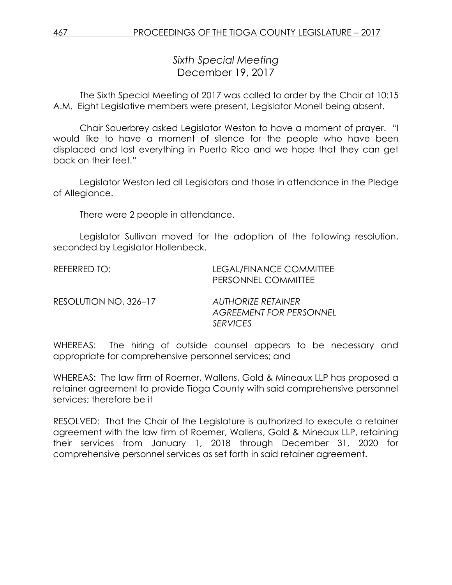*Sixth Special Meeting* December 19, 2017

The Sixth Special Meeting of 2017 was called to order by the Chair at 10:15 A.M. Eight Legislative members were present, Legislator Monell being absent.

Chair Sauerbrey asked Legislator Weston to have a moment of prayer. "I would like to have a moment of silence for the people who have been displaced and lost everything in Puerto Rico and we hope that they can get back on their feet."

Legislator Weston led all Legislators and those in attendance in the Pledge of Allegiance.

There were 2 people in attendance.

Legislator Sullivan moved for the adoption of the following resolution, seconded by Legislator Hollenbeck.

| REFERRED TO:          | LEGAL/FINANCE COMMITTEE<br><b>PERSONNEL COMMITTEE</b> |
|-----------------------|-------------------------------------------------------|
| RESOLUTION NO. 326-17 | AUTHORIZE RETAINER<br><b>AGREEMENT FOR PERSONNEL</b>  |

WHEREAS: The hiring of outside counsel appears to be necessary and appropriate for comprehensive personnel services; and

*SERVICES*

WHEREAS: The law firm of Roemer, Wallens, Gold & Mineaux LLP has proposed a retainer agreement to provide Tioga County with said comprehensive personnel services; therefore be it

RESOLVED: That the Chair of the Legislature is authorized to execute a retainer agreement with the law firm of Roemer, Wallens, Gold & Mineaux LLP, retaining their services from January 1, 2018 through December 31, 2020 for comprehensive personnel services as set forth in said retainer agreement.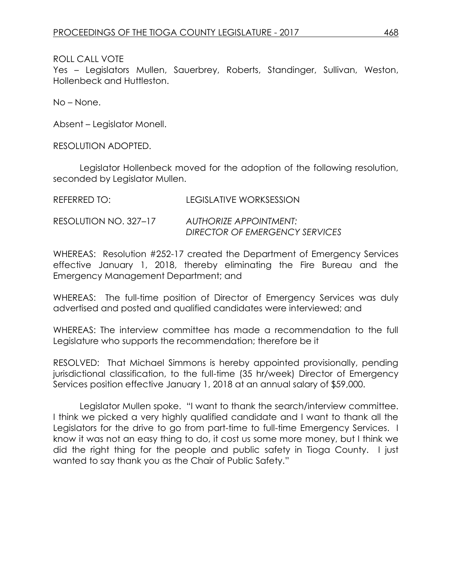## ROLL CALL VOTE

Yes – Legislators Mullen, Sauerbrey, Roberts, Standinger, Sullivan, Weston, Hollenbeck and Huttleston.

No – None.

Absent – Legislator Monell.

RESOLUTION ADOPTED.

Legislator Hollenbeck moved for the adoption of the following resolution, seconded by Legislator Mullen.

| REFERRED TO:          | LEGISLATIVE WORKSESSION                                         |
|-----------------------|-----------------------------------------------------------------|
| RESOLUTION NO. 327–17 | <b>AUTHORIZE APPOINTMENT:</b><br>DIRECTOR OF EMERGENCY SERVICES |

WHEREAS: Resolution #252-17 created the Department of Emergency Services effective January 1, 2018, thereby eliminating the Fire Bureau and the Emergency Management Department; and

WHEREAS: The full-time position of Director of Emergency Services was duly advertised and posted and qualified candidates were interviewed; and

WHEREAS: The interview committee has made a recommendation to the full Legislature who supports the recommendation; therefore be it

RESOLVED: That Michael Simmons is hereby appointed provisionally, pending jurisdictional classification, to the full-time (35 hr/week) Director of Emergency Services position effective January 1, 2018 at an annual salary of \$59,000.

Legislator Mullen spoke. "I want to thank the search/interview committee. I think we picked a very highly qualified candidate and I want to thank all the Legislators for the drive to go from part-time to full-time Emergency Services. I know it was not an easy thing to do, it cost us some more money, but I think we did the right thing for the people and public safety in Tioga County. I just wanted to say thank you as the Chair of Public Safety."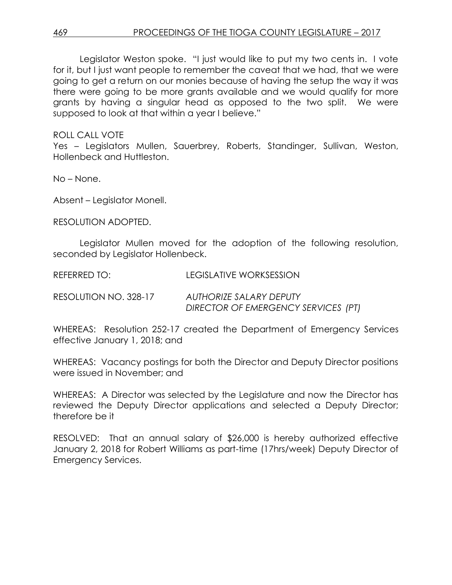Legislator Weston spoke. "I just would like to put my two cents in. I vote for it, but I just want people to remember the caveat that we had, that we were going to get a return on our monies because of having the setup the way it was there were going to be more grants available and we would qualify for more grants by having a singular head as opposed to the two split. We were supposed to look at that within a year I believe."

ROLL CALL VOTE

Yes - Legislators Mullen, Sauerbrey, Roberts, Standinger, Sullivan, Weston, Hollenbeck and Huttleston.

No – None.

Absent – Legislator Monell.

RESOLUTION ADOPTED.

Legislator Mullen moved for the adoption of the following resolution, seconded by Legislator Hollenbeck.

REFERRED TO: LEGISLATIVE WORKSESSION

RESOLUTION NO. 328-17 *AUTHORIZE SALARY DEPUTY DIRECTOR OF EMERGENCY SERVICES (PT)*

WHEREAS: Resolution 252-17 created the Department of Emergency Services effective January 1, 2018; and

WHEREAS: Vacancy postings for both the Director and Deputy Director positions were issued in November; and

WHEREAS: A Director was selected by the Legislature and now the Director has reviewed the Deputy Director applications and selected a Deputy Director; therefore be it

RESOLVED: That an annual salary of \$26,000 is hereby authorized effective January 2, 2018 for Robert Williams as part-time (17hrs/week) Deputy Director of Emergency Services.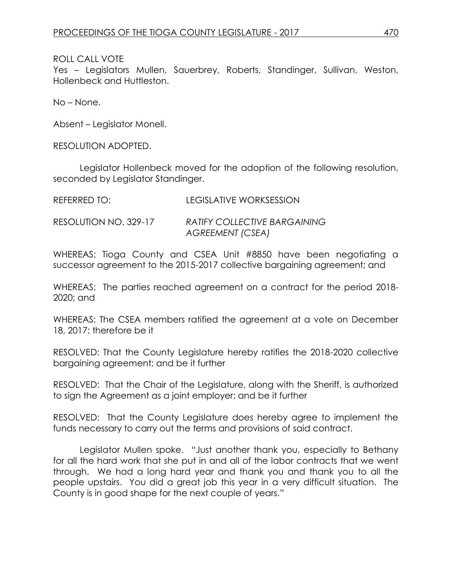## ROLL CALL VOTE

Yes – Legislators Mullen, Sauerbrey, Roberts, Standinger, Sullivan, Weston, Hollenbeck and Huttleston.

No – None.

Absent – Legislator Monell.

RESOLUTION ADOPTED.

Legislator Hollenbeck moved for the adoption of the following resolution, seconded by Legislator Standinger.

| REFERRED TO: | <b>LEGISLATIVE WORKSESSION</b> |
|--------------|--------------------------------|
|              |                                |

RESOLUTION NO. 329-17 *RATIFY COLLECTIVE BARGAINING AGREEMENT (CSEA)*

WHEREAS: Tioga County and CSEA Unit #8850 have been negotiating a successor agreement to the 2015-2017 collective bargaining agreement; and

WHEREAS: The parties reached agreement on a contract for the period 2018- 2020; and

WHEREAS: The CSEA members ratified the agreement at a vote on December 18, 2017; therefore be it

RESOLVED: That the County Legislature hereby ratifies the 2018-2020 collective bargaining agreement; and be it further

RESOLVED: That the Chair of the Legislature, along with the Sheriff, is authorized to sign the Agreement as a joint employer; and be it further

RESOLVED: That the County Legislature does hereby agree to implement the funds necessary to carry out the terms and provisions of said contract.

Legislator Mullen spoke. "Just another thank you, especially to Bethany for all the hard work that she put in and all of the labor contracts that we went through. We had a long hard year and thank you and thank you to all the people upstairs. You did a great job this year in a very difficult situation. The County is in good shape for the next couple of years."